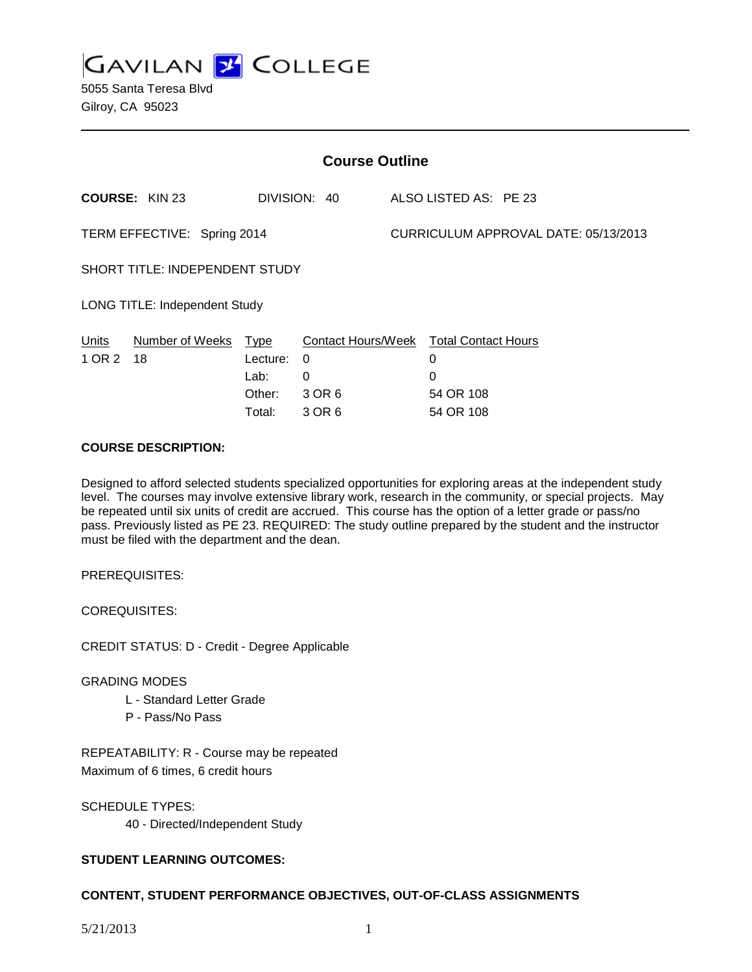**GAVILAN 2 COLLEGE** 

| <b>Course Outline</b>                 |                       |                                                     |                                                  |                                      |                                                                |  |
|---------------------------------------|-----------------------|-----------------------------------------------------|--------------------------------------------------|--------------------------------------|----------------------------------------------------------------|--|
|                                       | <b>COURSE: KIN 23</b> |                                                     | DIVISION: 40                                     |                                      | ALSO LISTED AS: PE 23                                          |  |
| TERM EFFECTIVE: Spring 2014           |                       |                                                     |                                                  | CURRICULUM APPROVAL DATE: 05/13/2013 |                                                                |  |
| <b>SHORT TITLE: INDEPENDENT STUDY</b> |                       |                                                     |                                                  |                                      |                                                                |  |
| <b>LONG TITLE: Independent Study</b>  |                       |                                                     |                                                  |                                      |                                                                |  |
| Units<br>1 OR 2                       | Number of Weeks<br>18 | <u>Type</u><br>Lecture:<br>Lab:<br>Other:<br>Total: | Contact Hours/Week<br>0<br>0<br>3 OR 6<br>3 OR 6 |                                      | <b>Total Contact Hours</b><br>0<br>0<br>54 OR 108<br>54 OR 108 |  |

#### **COURSE DESCRIPTION:**

Designed to afford selected students specialized opportunities for exploring areas at the independent study level. The courses may involve extensive library work, research in the community, or special projects. May be repeated until six units of credit are accrued. This course has the option of a letter grade or pass/no pass. Previously listed as PE 23. REQUIRED: The study outline prepared by the student and the instructor must be filed with the department and the dean.

PREREQUISITES:

COREQUISITES:

CREDIT STATUS: D - Credit - Degree Applicable

#### GRADING MODES

- L Standard Letter Grade
- P Pass/No Pass

REPEATABILITY: R - Course may be repeated Maximum of 6 times, 6 credit hours

SCHEDULE TYPES: 40 - Directed/Independent Study

## **STUDENT LEARNING OUTCOMES:**

## **CONTENT, STUDENT PERFORMANCE OBJECTIVES, OUT-OF-CLASS ASSIGNMENTS**

5/21/2013 1